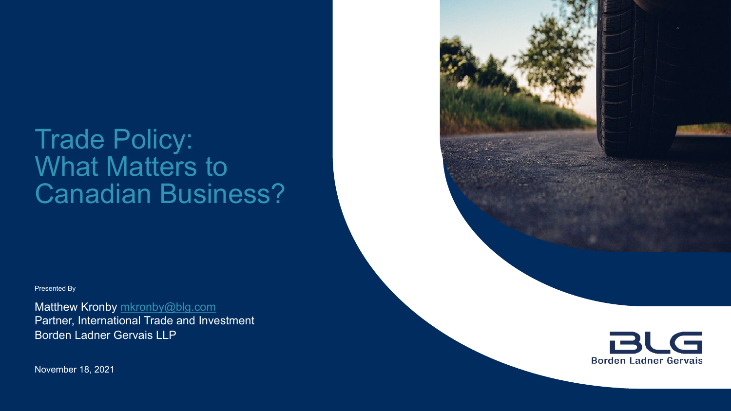# Trade Policy: What Matters to Canadian Business?

Presented By

Matthew Kronby [mkronby@blg.com](mailto:mkronby@blg.com) Partner, International Trade and Investment Borden Ladner Gervais LLP

November 18, 2021

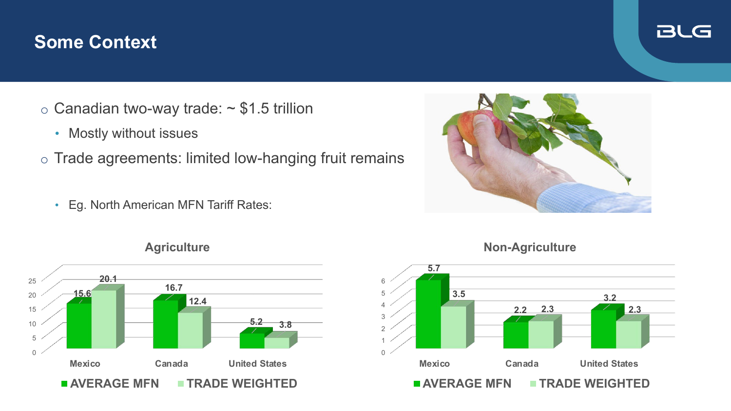#### **Some Context**

- $\circ$  Canadian two-way trade:  $\sim$  \$1.5 trillion
	- Mostly without issues
- o Trade agreements: limited low-hanging fruit remains
	- Eg. North American MFN Tariff Rates:





#### **Agriculture**



#### **Non-Agriculture**

#### **BLG**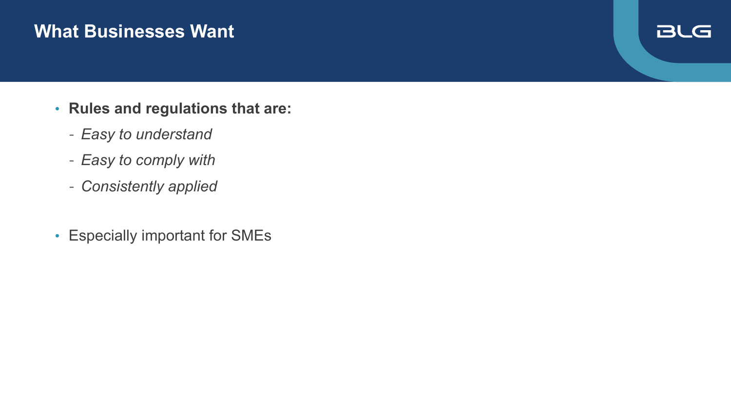#### **What Businesses Want**

#### **BLG**

- **Rules and regulations that are:**
	- *Easy to understand*
	- *Easy to comply with*
	- *Consistently applied*
- Especially important for SMEs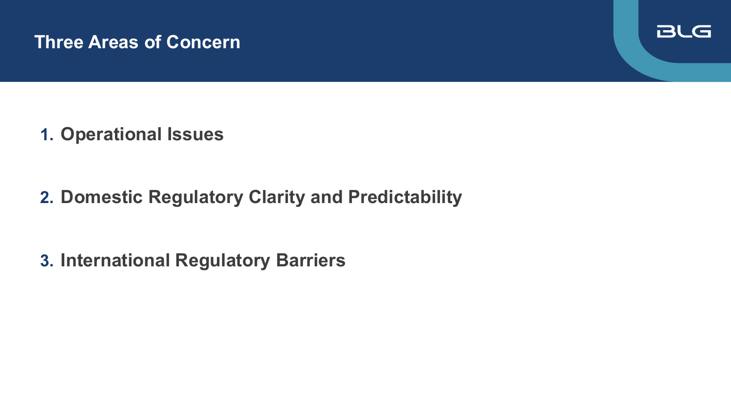#### **Three Areas of Concern**



**1. Operational Issues**

**2. Domestic Regulatory Clarity and Predictability**

**3. International Regulatory Barriers**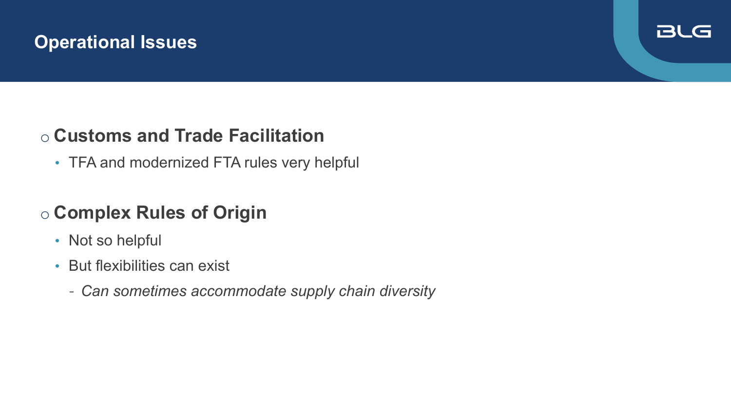### **Operational Issues**

#### **BLG**

## o **Customs and Trade Facilitation**

• TFA and modernized FTA rules very helpful

# o **Complex Rules of Origin**

- Not so helpful
- But flexibilities can exist
	- *Can sometimes accommodate supply chain diversity*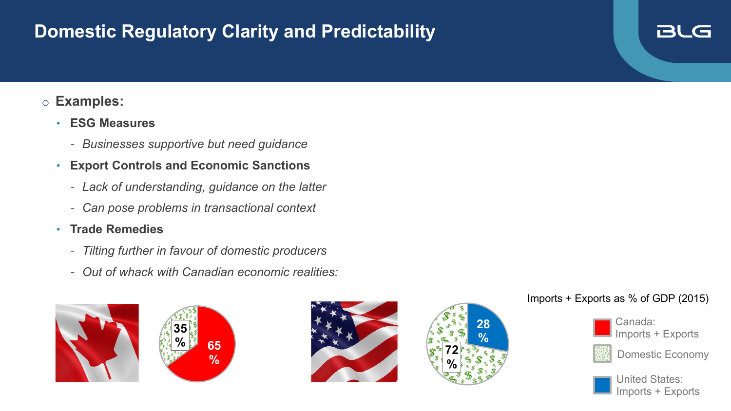### **Domestic Regulatory Clarity and Predictability**

#### o **Examples:**

- **ESG Measures**
	- *Businesses supportive but need guidance*
- **Export Controls and Economic Sanctions**
	- *Lack of understanding, guidance on the latter*
	- *Can pose problems in transactional context*
- **Trade Remedies**
	- *Tilting further in favour of domestic producers*
	- *Out of whack with Canadian economic realities:*









#### Imports + Exports as % of GDP (2015)



Imports + Exports

**BLG** 



Domestic Economy



United States: Imports + Exports